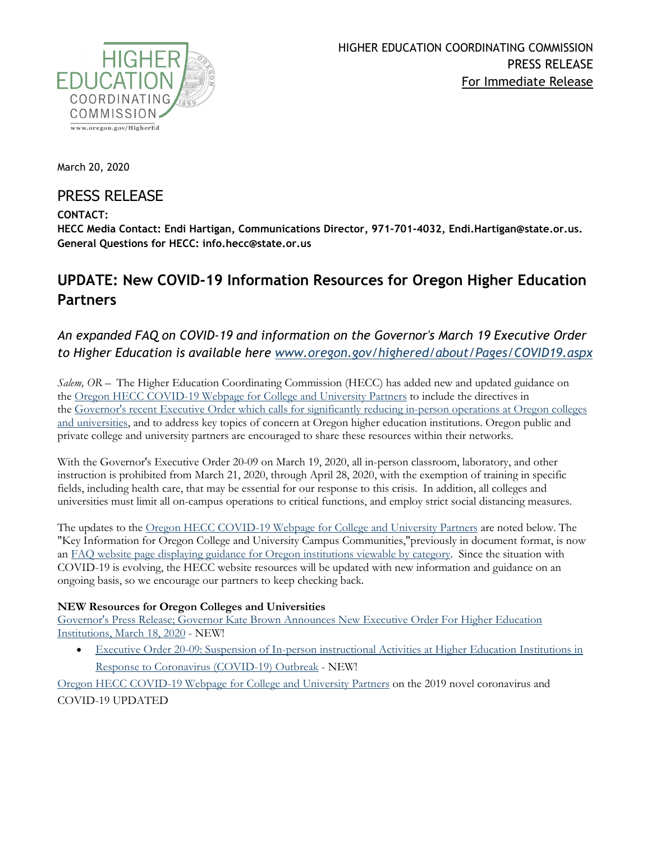

March 20, 2020

# PRESS RELEASE

### **CONTACT:**

**HECC Media Contact: Endi Hartigan, Communications Director, 971-701-4032, Endi.Hartigan@state.or.us. General Questions for HECC: info.hecc@state.or.us**

# **UPDATE: New COVID-19 Information Resources for Oregon Higher Education Partners**

## *An expanded FAQ on COVID-19 and information on the Governor's March 19 Executive Order to Higher Education is available here [www.oregon.gov/highered/about/Pages/COVID19.aspx](https://www.oregon.gov/highered/about/Pages/COVID19.aspx)*

*Salem, OR –* The Higher Education Coordinating Commission (HECC) has added new and updated guidance on the [Oregon HECC COVID-19 Webpage for College and University Partners](https://www.oregon.gov/highered/about/Pages/COVID19.aspx) to include the directives in the [Governor's recent Executive Order which calls for significantly reducing in-person operations at Oregon colleges](https://www.oregon.gov/newsroom/Pages/NewsDetail.aspx?newsid=36207)  [and universities,](https://www.oregon.gov/newsroom/Pages/NewsDetail.aspx?newsid=36207) and to address key topics of concern at Oregon higher education institutions. Oregon public and private college and university partners are encouraged to share these resources within their networks.

With the Governor's Executive Order 20-09 on March 19, 2020, all in-person classroom, laboratory, and other instruction is prohibited from March 21, 2020, through April 28, 2020, with the exemption of training in specific fields, including health care, that may be essential for our response to this crisis. In addition, all colleges and universities must limit all on-campus operations to critical functions, and employ strict social distancing measures.

The updates to the [Oregon HECC COVID-19 Webpage for College and University Partners](https://www.oregon.gov/highered/about/Pages/COVID19.aspx) are noted below. The "Key Information for Oregon College and University Campus Communities,"previously in document format, is now an [FAQ website page displaying guidance for Oregon institutions viewable by category.](https://www.oregon.gov/highered/about/Pages/COVID-19-FAQ.aspx) Since the situation with COVID-19 is evolving, the HECC website resources will be updated with new information and guidance on an ongoing basis, so we encourage our partners to keep checking back.

#### **NEW Resources for Oregon Colleges and Universities**

Governor's Press Release; [Governor Kate Brown Announces New Executive Order For Higher Education](https://www.oregon.gov/newsroom/Pages/NewsDetail.aspx?newsid=36207)  [Institutions, March 18, 2020](https://www.oregon.gov/newsroom/Pages/NewsDetail.aspx?newsid=36207) - NEW!

• [Executive Order 20-09: Suspension of In-person instructional Activities at Higher Education Institutions in](https://www.oregon.gov/gov/Documents/executive_orders/eo_20-09.pdf)  [Response to Coronavirus \(COVID-19\) Outbreak](https://www.oregon.gov/gov/Documents/executive_orders/eo_20-09.pdf) - NEW!

[Oregon HECC COVID-19 Webpage for College and University Partners](https://www.oregon.gov/highered/about/Pages/COVID19.aspx) on the 2019 novel coronavirus and COVID-19 UPDATED